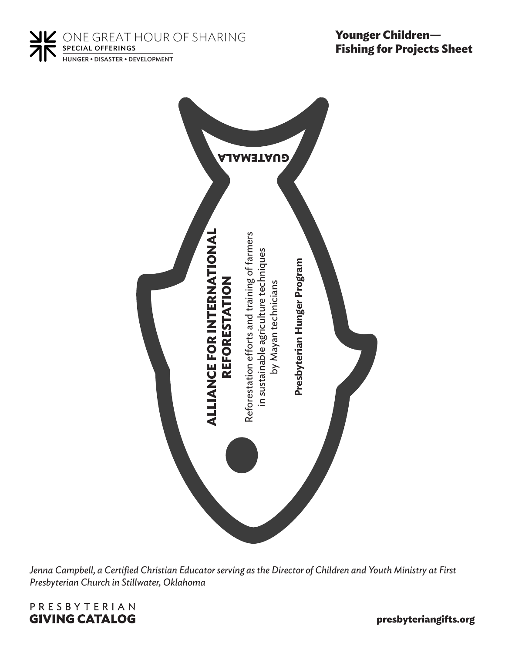**NK** ONE GREAT HOUR OF SHARING SPECIAL OFFERINGS HUNGER • DISASTER • DEVELOPMENT

**Younger Children— Fishing for Projects Sheet**



*Jenna Campbell, a Certified Christian Educator serving as the Director of Children and Youth Ministry at First Presbyterian Church in Stillwater, Oklahoma*



**presbyteriangifts.org**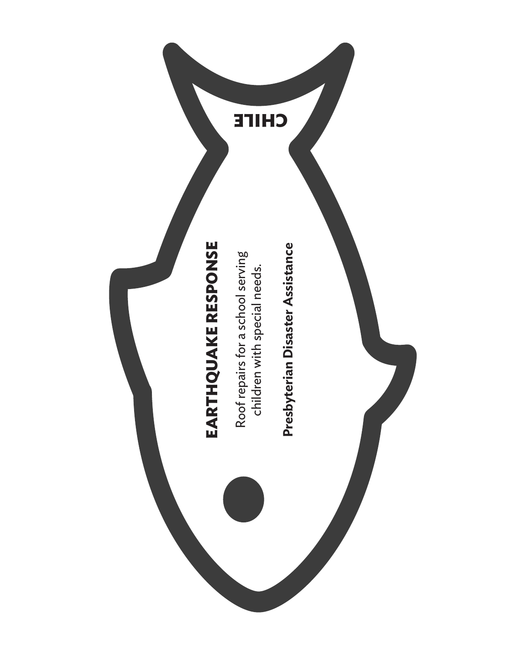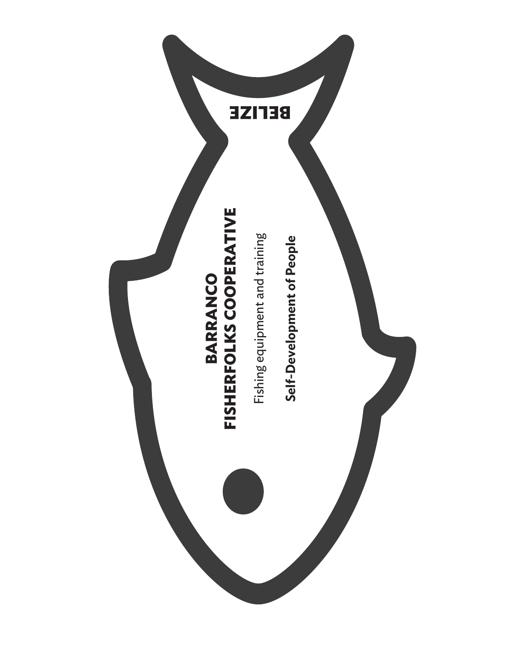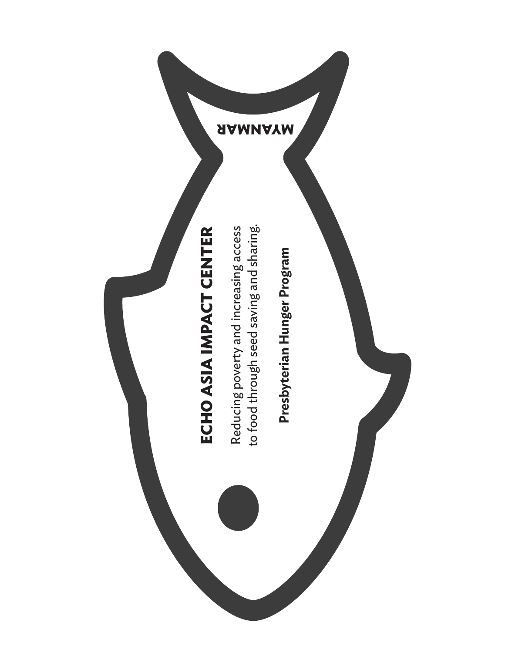

Presbyterian Hunger Program **Presbyterian Hunger Program**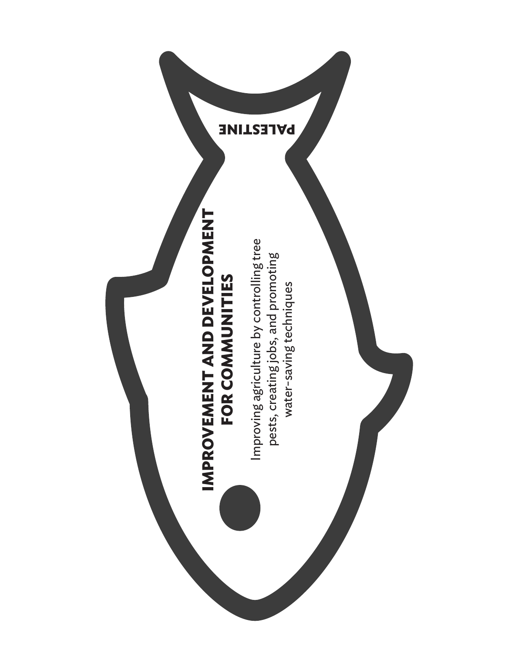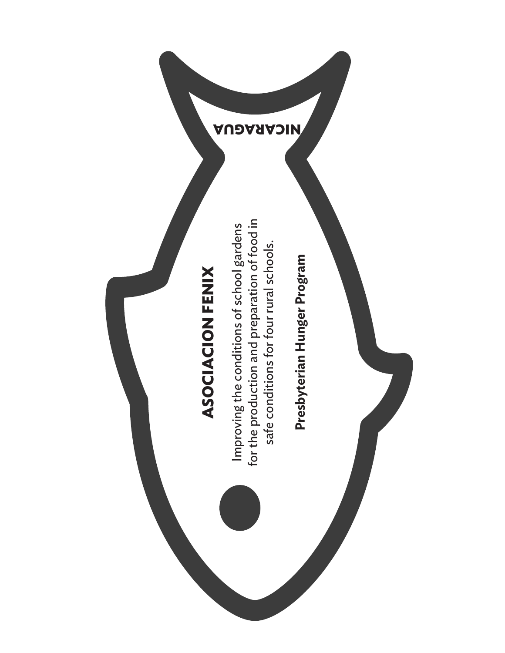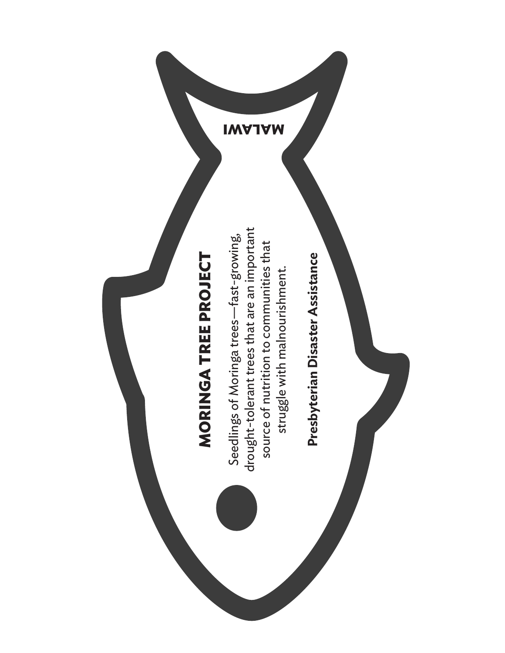

Presbyterian Disaster Assistance **Presbyterian Disaster Assistance**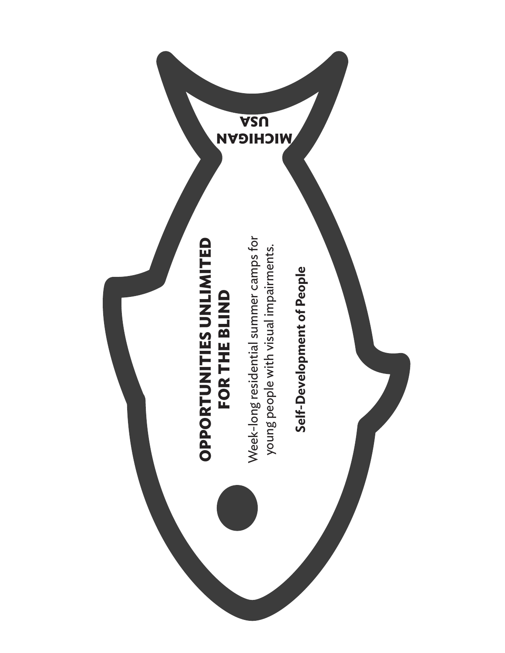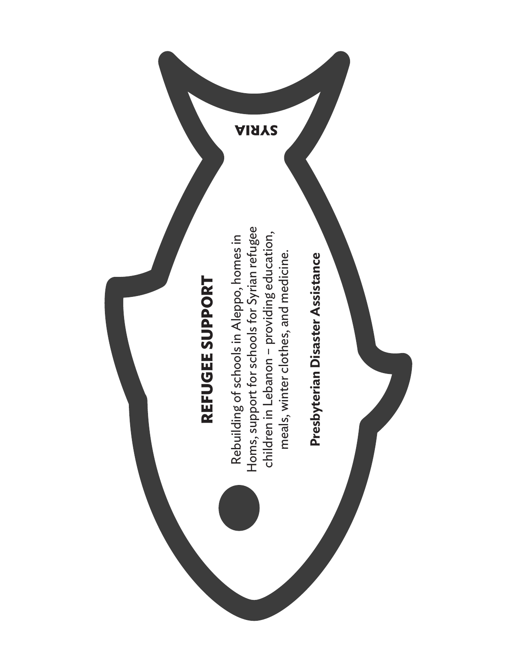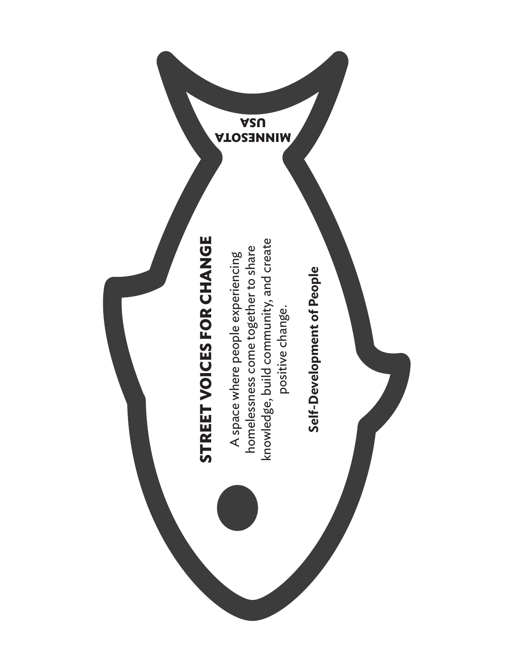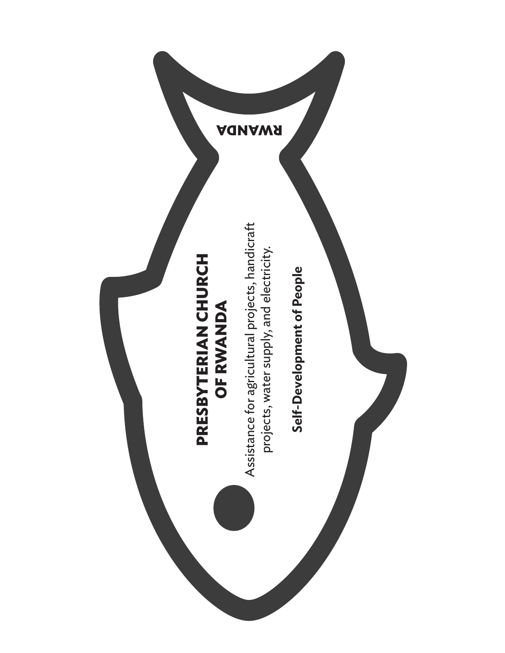